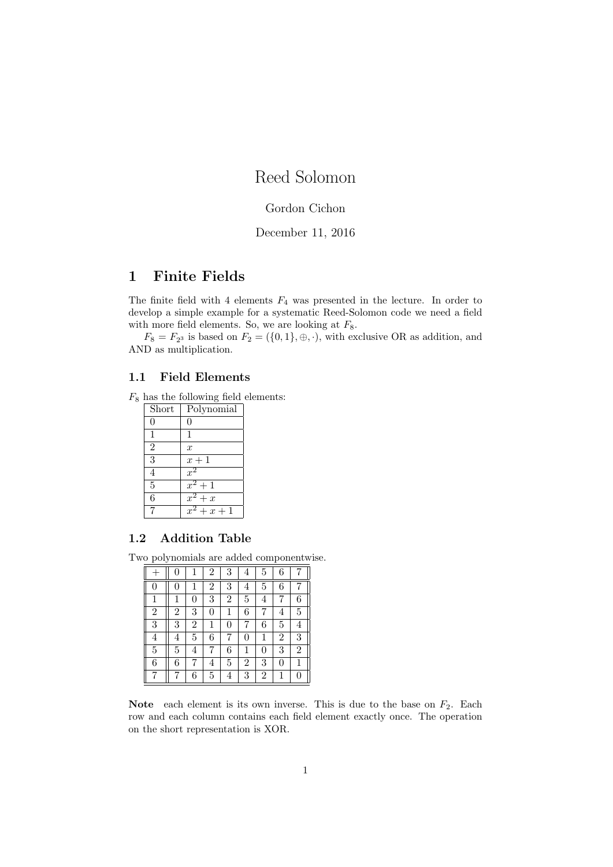# Reed Solomon

## Gordon Cichon

### December 11, 2016

## 1 Finite Fields

The finite field with 4 elements  $F_4$  was presented in the lecture. In order to develop a simple example for a systematic Reed-Solomon code we need a field with more field elements. So, we are looking at  $F_8$ .

 $F_8 = F_{2^3}$  is based on  $F_2 = (\{0,1\}, \oplus, \cdot),$  with exclusive OR as addition, and AND as multiplication.

#### 1.1 Field Elements

 $F_8$  has the following field elements:

| Short          | Polynomial         |
|----------------|--------------------|
| 0              |                    |
| 1              | 1                  |
| $\overline{2}$ | $\boldsymbol{x}$   |
| $\overline{3}$ | $x+1$              |
| $\overline{4}$ | $x^2$              |
| 5              | $x^2+1$            |
| 6              | $\overline{x^2+x}$ |
|                | $+x+1$             |

#### 1.2 Addition Table

Two polynomials are added componentwise.

|                | 0              |                | $\overline{2}$ | 3              | 4              | 5              | 6              |                |
|----------------|----------------|----------------|----------------|----------------|----------------|----------------|----------------|----------------|
|                | 0              | 1              | $\overline{2}$ | 3              | 4              | 5              | 6              |                |
| 1              | 1              | 0              | 3              | $\overline{2}$ | 5              | 4              | 7              | 6              |
| $\overline{2}$ | $\overline{2}$ | 3              | $\overline{0}$ | $\mathbf{1}$   | 6              |                | 4              | $\overline{5}$ |
| 3              | 3              | $\overline{2}$ | $\mathbf{1}$   | 0              |                | 6              | 5              | 4              |
| 4              | 4              | 5              | 6              | 7              | 0              | 1              | $\overline{2}$ | 3              |
| 5              | 5              | 4              | 7              | 6              | 1              | $\theta$       | 3              | $\overline{2}$ |
| 6              | 6              | 7              | 4              | 5              | $\overline{2}$ | 3              | $\theta$       | 1              |
|                | 7              | 6              | 5              | 4              | 3              | $\overline{2}$ | 1              | $\Omega$       |

Note each element is its own inverse. This is due to the base on  $F_2$ . Each row and each column contains each field element exactly once. The operation on the short representation is XOR.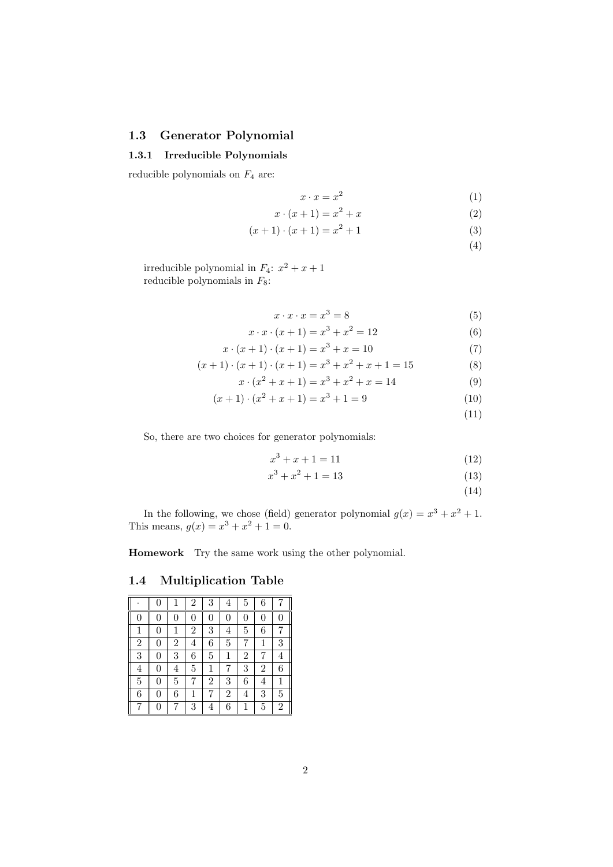#### 1.3 Generator Polynomial

#### 1.3.1 Irreducible Polynomials

reducible polynomials on  $F_4$  are:

$$
x \cdot x = x^2 \tag{1}
$$

$$
x \cdot (x+1) = x^2 + x \tag{2}
$$

$$
(x+1) \cdot (x+1) = x^2 + 1 \tag{3}
$$

(4)

irreducible polynomial in  $F_4$ :  $x^2 + x + 1$ reducible polynomials in  $F_8$ :

$$
x \cdot x \cdot x = x^3 = 8 \tag{5}
$$

$$
x \cdot x \cdot (x+1) = x^3 + x^2 = 12 \tag{6}
$$

$$
x \cdot (x+1) \cdot (x+1) = x^3 + x = 10 \tag{7}
$$

$$
(x+1)\cdot(x+1)\cdot(x+1) = x^3 + x^2 + x + 1 = 15
$$
 (8)

$$
x \cdot (x^2 + x + 1) = x^3 + x^2 + x = 14 \tag{9}
$$

$$
(x+1)\cdot(x^2+x+1) = x^3+1 = 9\tag{10}
$$

$$
(11)
$$

So, there are two choices for generator polynomials:

$$
x^3 + x + 1 = 11\tag{12}
$$

$$
x^3 + x^2 + 1 = 13\tag{13}
$$

(14)

In the following, we chose (field) generator polynomial  $g(x) = x^3 + x^2 + 1$ . This means,  $g(x) = x^3 + x^2 + 1 = 0$ .

Homework Try the same work using the other polynomial.

1.4 Multiplication Table

|                | 0              | 1              | $\overline{2}$ | 3              | 4              | 5              | 6              | 7              |
|----------------|----------------|----------------|----------------|----------------|----------------|----------------|----------------|----------------|
| 0              | 0              | 0              | 0              | 0              | 0              | 0              | 0              | 0              |
| $\mathbf{1}$   | 0              | $\mathbf{1}$   | $\overline{2}$ | 3              | 4              | $\overline{5}$ | 6              | 7              |
| $\overline{2}$ | 0              | $\overline{2}$ | 4              | 6              | $\overline{5}$ | 7              | $\mathbf 1$    | 3              |
| 3              | 0              | 3              | 6              | $\overline{5}$ | 1              | $\overline{2}$ | 7              | 4              |
| $\overline{4}$ | 0              | 4              | 5              | 1              | 7              | 3              | $\overline{2}$ | 6              |
| 5              | $\overline{0}$ | 5              | 7              | $\overline{2}$ | 3              | 6              | 4              | $\mathbf{1}$   |
| 6              | 0              | 6              | 1              | 7              | $\overline{2}$ | 4              | 3              | 5              |
| 7              | $\theta$       | 7              | 3              | 4              | 6              | 1              | 5              | $\overline{2}$ |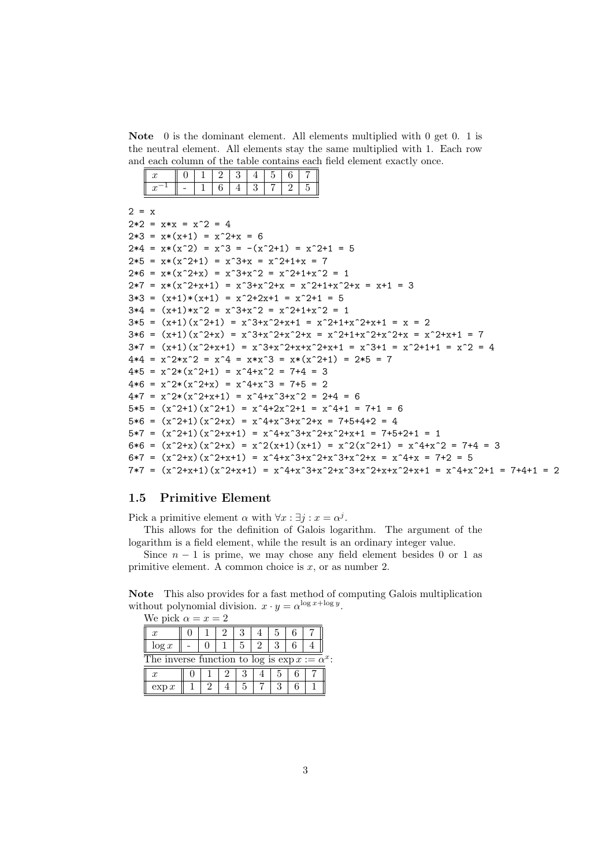Note 0 is the dominant element. All elements multiplied with 0 get 0. 1 is the neutral element. All elements stay the same multiplied with 1. Each row and each column of the table contains each field element exactly once.

 $2 = x$ 

```
2*2 = x*x = x^2 = 42*3 = x*(x+1) = x^2+x = 62*4 = x*(x^2) = x^3 = -(x^2+1) = x^2+1 = 52*5 = x*(x^2+1) = x^3+x = x^2+1+x = 72*6 = x*(x^2+x) = x^3+x^2 = x^2+1+x^2 = 12*7 = x*(x^2+x+1) = x^3+x^2+x = x^2+1+x^2+x = x+1 = 33*3 = (x+1)*(x+1) = x^2+2x+1 = x^2+1 = 53*4 = (x+1)*x^2 = x^3+x^2 = x^2+1+x^2 = 13*5 = (x+1)(x^2+1) = x^3+x^2+x+1 = x^2+1+x^2+x+1 = x = 23*6 = (x+1)(x^2+x) = x^3+x^2+x^2+x = x^2+1+x^2+x^2+x = x^2+1+x^2+1 = 73*7 = (x+1)(x^2+x+1) = x^3+x^2+x+x^2+x+1 = x^3+1 = x^2+1+1 = x^2 = 44*4 = x^2*x^2 = x^4 = x*x^3 = x*(x^2+1) = 2*5 = 74*5 = x^2*(x^2+1) = x^4+x^2 = 7+4 = 34*6 = x^2*(x^2+x) = x^4+x^3 = 7+5 = 24*7 = x^2*(x^2+x+1) = x^4+x^3+x^2 = 2+4 = 65*5 = (x^2+1)(x^2+1) = x^4+2x^2+1 = x^4+1 = 7+1 = 65*6 = (x^2+1)(x^2+x) = x^4+x^3+x^2+x = 7+5+4+2 = 45*7 = (x^2+1)(x^2+x+1) = x^4+x^3+x^2+x^2+x+1 = 7+5+2+1 = 16*6 = (x^2+x)(x^2+x) = x^2(x+1)(x+1) = x^2(x^2+1) = x^4+x^2 = 7+4 = 36*7 = (x^2+x)(x^2+x+1) = x^4+x^3+x^2+x^3+x^2+x^2+x = x^4+x = 7+2 = 57*7 = (x^2+x+1)(x^2+x+1) = x^4+x^3+x^2+x^3+x^2+x^2+x+1 = x^4+x^2+1 = 7+4+1 = 2
```
#### 1.5 Primitive Element

Pick a primitive element  $\alpha$  with  $\forall x : \exists j : x = \alpha^j$ .

This allows for the definition of Galois logarithm. The argument of the logarithm is a field element, while the result is an ordinary integer value.

Since  $n - 1$  is prime, we may chose any field element besides 0 or 1 as primitive element. A common choice is  $x$ , or as number 2.

Note This also provides for a fast method of computing Galois multiplication without polynomial division.  $x \cdot y = \alpha^{\log x + \log y}$ . We pick  $\alpha = x - 2$ 

| we pick $\alpha = x = z$                              |  |  |  |  |  |  |  |  |  |
|-------------------------------------------------------|--|--|--|--|--|--|--|--|--|
| x                                                     |  |  |  |  |  |  |  |  |  |
| $\log x$                                              |  |  |  |  |  |  |  |  |  |
| The inverse function to log is $\exp x := \alpha^x$ : |  |  |  |  |  |  |  |  |  |
| $\boldsymbol{x}$                                      |  |  |  |  |  |  |  |  |  |
| $\exp x$                                              |  |  |  |  |  |  |  |  |  |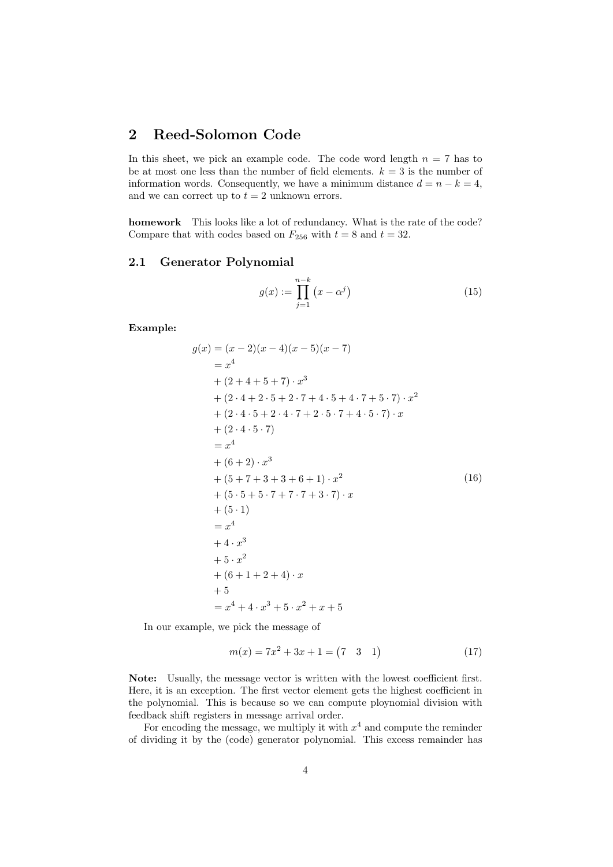## 2 Reed-Solomon Code

In this sheet, we pick an example code. The code word length  $n = 7$  has to be at most one less than the number of field elements.  $k = 3$  is the number of information words. Consequently, we have a minimum distance  $d = n - k = 4$ , and we can correct up to  $t = 2$  unknown errors.

homework This looks like a lot of redundancy. What is the rate of the code? Compare that with codes based on  $F_{256}$  with  $t = 8$  and  $t = 32$ .

#### 2.1 Generator Polynomial

$$
g(x) := \prod_{j=1}^{n-k} (x - \alpha^j)
$$
 (15)

Example:

$$
g(x) = (x - 2)(x - 4)(x - 5)(x - 7)
$$
  
\n
$$
= x4
$$
  
\n+ (2 + 4 + 5 + 7) \cdot x<sup>3</sup>  
\n+ (2 \cdot 4 + 2 \cdot 5 + 2 \cdot 7 + 4 \cdot 5 + 4 \cdot 7 + 5 \cdot 7) \cdot x<sup>2</sup>  
\n+ (2 \cdot 4 \cdot 5 + 2 \cdot 4 \cdot 7 + 2 \cdot 5 \cdot 7 + 4 \cdot 5 \cdot 7) \cdot x  
\n+ (2 \cdot 4 \cdot 5 \cdot 7)  
\n= x<sup>4</sup>  
\n+ (6 + 2) \cdot x<sup>3</sup>  
\n+ (5 + 7 + 3 + 3 + 6 + 1) \cdot x<sup>2</sup>  
\n+ (5 \cdot 5 + 5 \cdot 7 + 7 \cdot 7 + 3 \cdot 7) \cdot x  
\n+ (5 \cdot 1)  
\n= x<sup>4</sup>  
\n+ 4 \cdot x<sup>3</sup>  
\n+ 5 \cdot x<sup>2</sup>  
\n+ (6 + 1 + 2 + 4) \cdot x  
\n+ 5  
\n= x<sup>4</sup> + 4 \cdot x<sup>3</sup> + 5 \cdot x<sup>2</sup> + x + 5

In our example, we pick the message of

$$
m(x) = 7x^2 + 3x + 1 = (7 \quad 3 \quad 1)
$$
\n<sup>(17)</sup>

Note: Usually, the message vector is written with the lowest coefficient first. Here, it is an exception. The first vector element gets the highest coefficient in the polynomial. This is because so we can compute ploynomial division with feedback shift registers in message arrival order.

For encoding the message, we multiply it with  $x^4$  and compute the reminder of dividing it by the (code) generator polynomial. This excess remainder has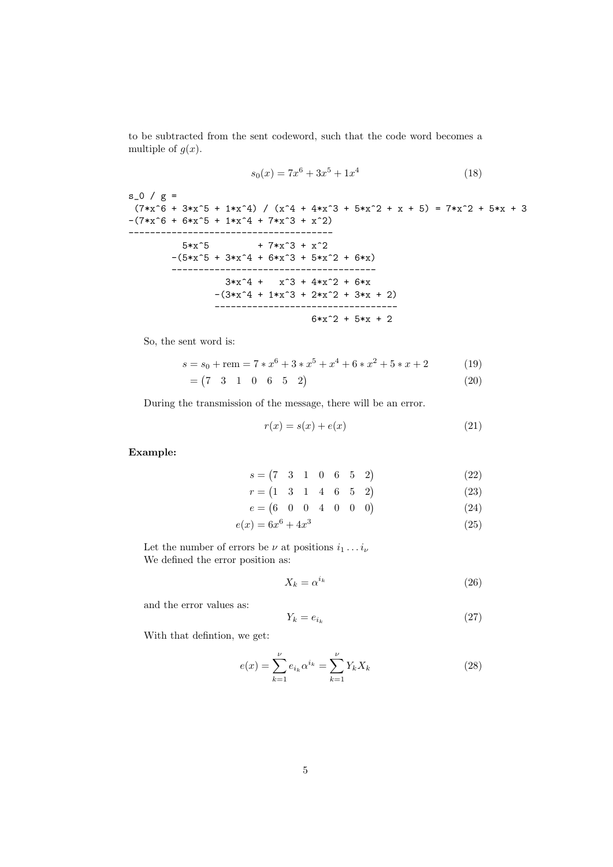to be subtracted from the sent codeword, such that the code word becomes a multiple of  $g(x)$ .

$$
s_0(x) = 7x^6 + 3x^5 + 1x^4 \tag{18}
$$

 $s_0 / g =$  $(7*x^6 + 3*x^5 + 1*x^4)$  /  $(x^4 + 4*x^3 + 5*x^2 + x + 5) = 7*x^2 + 5*x + 3$  $-(7*x^6 + 6*x^5 + 1*x^4 + 7*x^3 + x^2)$ --------------------------------------  $5*x^5$  + 7 $*x^3 + x^2$  $-(5*x^5 + 3*x^4 + 6*x^3 + 5*x^2 + 6*x)$ --------------------------------------  $3*x^4 + x^3 + 4*x^2 + 6*x$  $-(3*x^4 + 1*x^3 + 2*x^2 + 3*x + 2)$ ----------------------------------  $6*x^2 + 5*x + 2$ 

So, the sent word is:

$$
s = s_0 + \text{rem} = 7 * x^6 + 3 * x^5 + x^4 + 6 * x^2 + 5 * x + 2 \tag{19}
$$

$$
= (7 \quad 3 \quad 1 \quad 0 \quad 6 \quad 5 \quad 2) \tag{20}
$$

During the transmission of the message, there will be an error.

$$
r(x) = s(x) + e(x) \tag{21}
$$

Example:

$$
s = \begin{pmatrix} 7 & 3 & 1 & 0 & 6 & 5 & 2 \end{pmatrix}
$$
 (22)

$$
r = \begin{pmatrix} 1 & 3 & 1 & 4 & 6 & 5 & 2 \end{pmatrix}
$$
 (23)

$$
e = \begin{pmatrix} 6 & 0 & 0 & 4 & 0 & 0 & 0 \end{pmatrix} \tag{24}
$$

$$
e(x) = 6x^6 + 4x^3 \tag{25}
$$

Let the number of errors be  $\nu$  at positions  $i_1 \ldots i_{\nu}$ We defined the error position as:

$$
X_k = \alpha^{i_k} \tag{26}
$$

and the error values as:

$$
Y_k = e_{i_k} \tag{27}
$$

With that defintion, we get:

$$
e(x) = \sum_{k=1}^{\nu} e_{i_k} \alpha^{i_k} = \sum_{k=1}^{\nu} Y_k X_k
$$
 (28)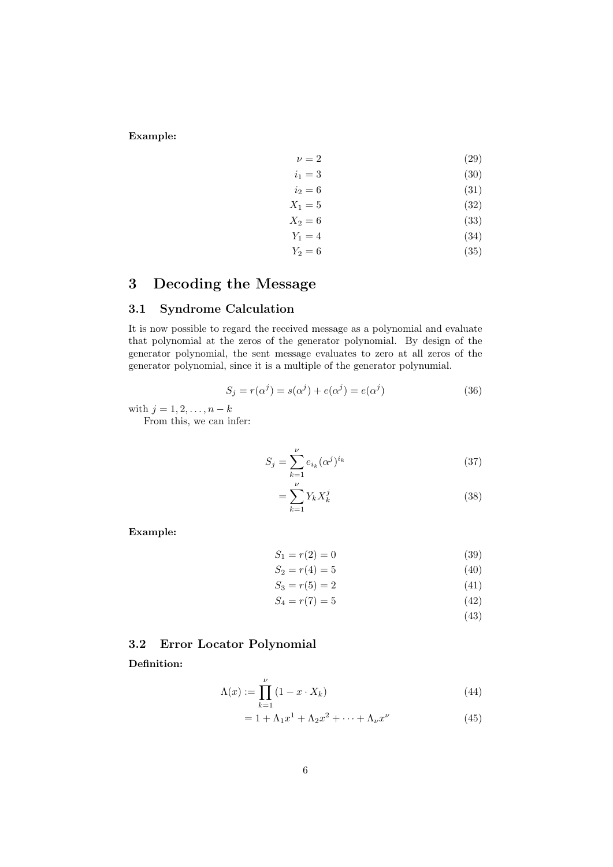Example:

$$
\nu = 2 \tag{29}
$$
  

$$
i_1 = 3 \tag{30}
$$

$$
i_1 = 3 \tag{30}
$$
  

$$
i_2 = 6 \tag{31}
$$

 $X_1 = 5$  (32)

$$
X_2 = 6 \tag{33}
$$

$$
Y_1 = 4 \tag{34}
$$

$$
Y_2 = 6 \tag{35}
$$

## 3 Decoding the Message

## 3.1 Syndrome Calculation

It is now possible to regard the received message as a polynomial and evaluate that polynomial at the zeros of the generator polynomial. By design of the generator polynomial, the sent message evaluates to zero at all zeros of the generator polynomial, since it is a multiple of the generator polynumial.

$$
S_j = r(\alpha^j) = s(\alpha^j) + e(\alpha^j) = e(\alpha^j)
$$
\n(36)

with  $j = 1, 2, ..., n - k$ 

From this, we can infer:

$$
S_j = \sum_{k=1}^{\nu} e_{i_k} (\alpha^j)^{i_k}
$$
 (37)

$$
=\sum_{k=1}^{\nu} Y_k X_k^j\tag{38}
$$

Example:

$$
S_1 = r(2) = 0 \tag{39}
$$

$$
S_2 = r(4) = 5 \tag{40}
$$

$$
S_3 = r(5) = 2 \tag{41}
$$

 $S_4 = r(7) = 5$  (42)

(43)

## 3.2 Error Locator Polynomial

Definition:

$$
\Lambda(x) := \prod_{k=1}^{\nu} \left( 1 - x \cdot X_k \right) \tag{44}
$$

$$
= 1 + \Lambda_1 x^1 + \Lambda_2 x^2 + \dots + \Lambda_\nu x^\nu \tag{45}
$$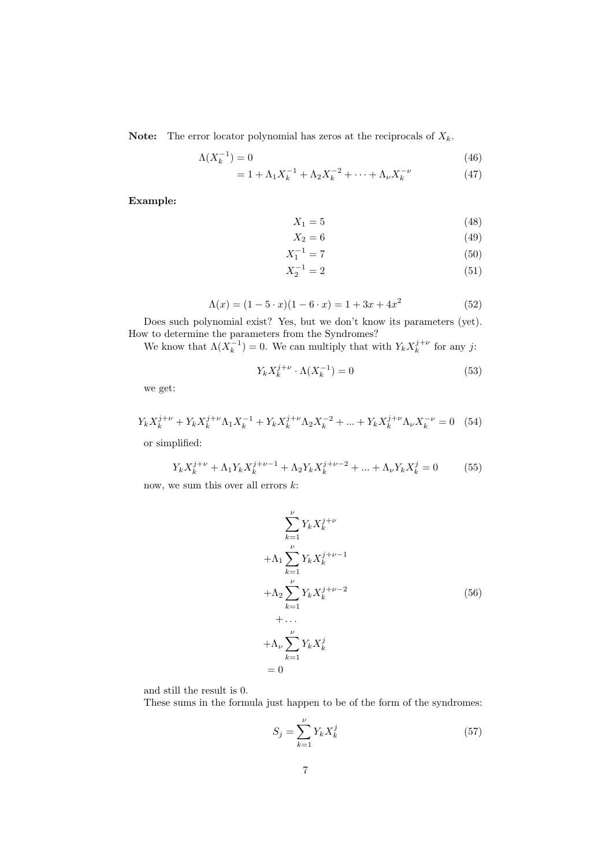**Note:** The error locator polynomial has zeros at the reciprocals of  $X_k$ .

$$
\Lambda(X_k^{-1}) = 0\tag{46}
$$

$$
= 1 + \Lambda_1 X_k^{-1} + \Lambda_2 X_k^{-2} + \dots + \Lambda_\nu X_k^{-\nu}
$$
 (47)

Example:

$$
X_1 = 5 \tag{48}
$$

$$
X_2 = 6 \tag{49}
$$

$$
X_1^{-1} = 7 \tag{50}
$$

$$
X_2^{-1} = 2\tag{51}
$$

$$
\Lambda(x) = (1 - 5 \cdot x)(1 - 6 \cdot x) = 1 + 3x + 4x^2 \tag{52}
$$

Does such polynomial exist? Yes, but we don't know its parameters (yet). How to determine the parameters from the Syndromes?

We know that  $\Lambda(X_k^{-1}) = 0$ . We can multiply that with  $Y_k X_k^{j+\nu}$  for any j:

$$
Y_k X_k^{j+\nu} \cdot \Lambda(X_k^{-1}) = 0 \tag{53}
$$

we get:

$$
Y_k X_k^{j+\nu} + Y_k X_k^{j+\nu} \Lambda_1 X_k^{-1} + Y_k X_k^{j+\nu} \Lambda_2 X_k^{-2} + \dots + Y_k X_k^{j+\nu} \Lambda_\nu X_k^{-\nu} = 0 \quad (54)
$$

or simplified:

$$
Y_k X_k^{j+\nu} + \Lambda_1 Y_k X_k^{j+\nu-1} + \Lambda_2 Y_k X_k^{j+\nu-2} + \dots + \Lambda_\nu Y_k X_k^j = 0 \tag{55}
$$

now, we sum this over all errors  $k$ :

$$
\sum_{k=1}^{\nu} Y_k X_k^{j+\nu}
$$
  
+  $\Lambda_1 \sum_{k=1}^{\nu} Y_k X_k^{j+\nu-1}$   
+  $\Lambda_2 \sum_{k=1}^{\nu} Y_k X_k^{j+\nu-2}$   
+ ...  
+  $\Lambda_{\nu} \sum_{k=1}^{\nu} Y_k X_k^j$   
= 0

and still the result is 0.

These sums in the formula just happen to be of the form of the syndromes:

$$
S_j = \sum_{k=1}^{\nu} Y_k X_k^j \tag{57}
$$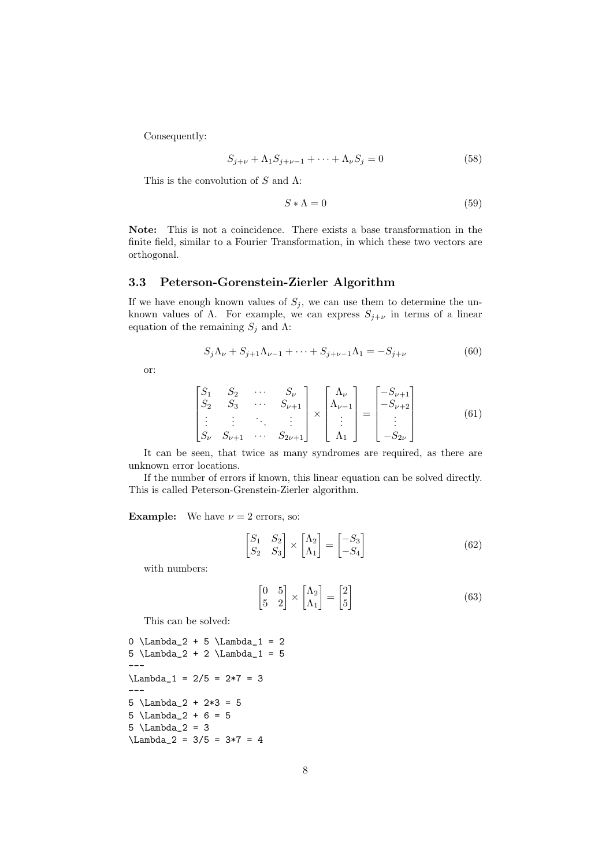Consequently:

$$
S_{j+\nu} + \Lambda_1 S_{j+\nu-1} + \dots + \Lambda_\nu S_j = 0
$$
\n(58)

This is the convolution of  $S$  and  $\Lambda$ :

$$
S * \Lambda = 0 \tag{59}
$$

Note: This is not a coincidence. There exists a base transformation in the finite field, similar to a Fourier Transformation, in which these two vectors are orthogonal.

#### 3.3 Peterson-Gorenstein-Zierler Algorithm

If we have enough known values of  $S_j$ , we can use them to determine the unknown values of  $\Lambda$ . For example, we can express  $S_{j+\nu}$  in terms of a linear equation of the remaining  $S_j$  and  $\Lambda$ :

$$
S_j \Lambda_\nu + S_{j+1} \Lambda_{\nu-1} + \dots + S_{j+\nu-1} \Lambda_1 = -S_{j+\nu}
$$
 (60)

or:

$$
\begin{bmatrix}\nS_1 & S_2 & \cdots & S_{\nu} \\
S_2 & S_3 & \cdots & S_{\nu+1} \\
\vdots & \vdots & \ddots & \vdots \\
S_{\nu} & S_{\nu+1} & \cdots & S_{2\nu+1}\n\end{bmatrix}\n\times\n\begin{bmatrix}\n\Lambda_{\nu} \\
\Lambda_{\nu-1} \\
\vdots \\
\Lambda_1\n\end{bmatrix}\n=\n\begin{bmatrix}\n-S_{\nu+1} \\
-S_{\nu+2} \\
\vdots \\
-S_{2\nu}\n\end{bmatrix}
$$
\n(61)

It can be seen, that twice as many syndromes are required, as there are unknown error locations.

If the number of errors if known, this linear equation can be solved directly. This is called Peterson-Grenstein-Zierler algorithm.

**Example:** We have  $\nu = 2$  errors, so:

$$
\begin{bmatrix} S_1 & S_2 \\ S_2 & S_3 \end{bmatrix} \times \begin{bmatrix} \Lambda_2 \\ \Lambda_1 \end{bmatrix} = \begin{bmatrix} -S_3 \\ -S_4 \end{bmatrix} \tag{62}
$$

with numbers:

$$
\begin{bmatrix} 0 & 5 \\ 5 & 2 \end{bmatrix} \times \begin{bmatrix} \Lambda_2 \\ \Lambda_1 \end{bmatrix} = \begin{bmatrix} 2 \\ 5 \end{bmatrix}
$$
 (63)

This can be solved:

```
0 \Lambda_2 + 5 \Lambda_1 = 25 \Lambda_2 + 2 \Lambda_1 = 5---
\Lambda_1 = 2/5 = 2*7 = 3---
5 \Lambda_2 + 2*3 = 5
5 \ \Lambda_2 + 6 = 55 \Lambda_2 = 3\Lambda_2 = 3/5 = 3*7 = 4
```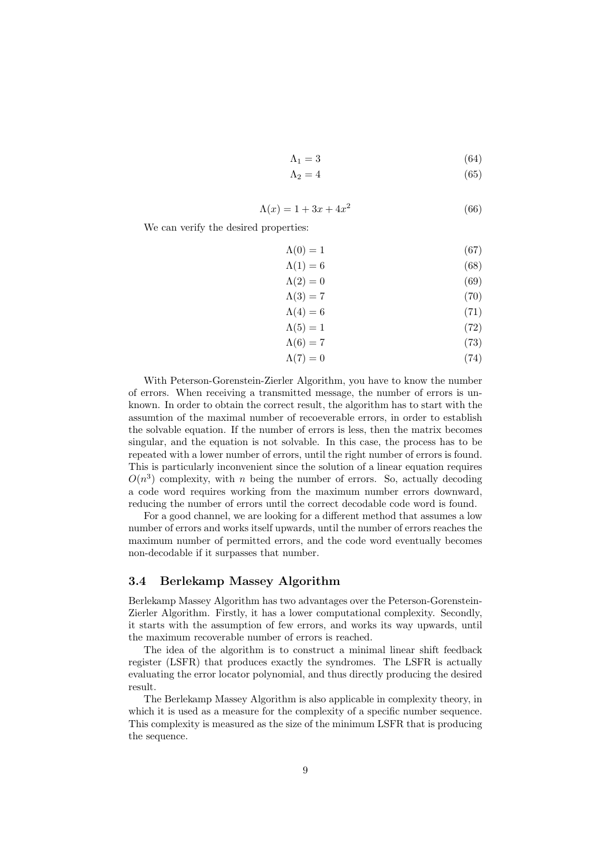- $\Lambda_1 = 3$  (64)
- $\Lambda_2 = 4$  (65)

$$
\Lambda(x) = 1 + 3x + 4x^2 \tag{66}
$$

We can verify the desired properties:

$$
\Lambda(0) = 1 \tag{67}
$$

$$
\Lambda(1) = 6 \tag{68}
$$

$$
\Lambda(2) = 0 \tag{69}
$$

$$
\Lambda(3) = 7\tag{70}
$$

$$
\Lambda(4) = 6 \tag{71}
$$
\n
$$
\Lambda(5) = 1 \tag{72}
$$

$$
\Lambda(6) = 7 \tag{73}
$$

$$
\Lambda(7) = 0 \tag{74}
$$

$$
\Lambda(7) = 0 \tag{74}
$$

With Peterson-Gorenstein-Zierler Algorithm, you have to know the number of errors. When receiving a transmitted message, the number of errors is unknown. In order to obtain the correct result, the algorithm has to start with the assumtion of the maximal number of recoeverable errors, in order to establish the solvable equation. If the number of errors is less, then the matrix becomes singular, and the equation is not solvable. In this case, the process has to be repeated with a lower number of errors, until the right number of errors is found. This is particularly inconvenient since the solution of a linear equation requires  $O(n^3)$  complexity, with *n* being the number of errors. So, actually decoding a code word requires working from the maximum number errors downward, reducing the number of errors until the correct decodable code word is found.

For a good channel, we are looking for a different method that assumes a low number of errors and works itself upwards, until the number of errors reaches the maximum number of permitted errors, and the code word eventually becomes non-decodable if it surpasses that number.

#### 3.4 Berlekamp Massey Algorithm

Berlekamp Massey Algorithm has two advantages over the Peterson-Gorenstein-Zierler Algorithm. Firstly, it has a lower computational complexity. Secondly, it starts with the assumption of few errors, and works its way upwards, until the maximum recoverable number of errors is reached.

The idea of the algorithm is to construct a minimal linear shift feedback register (LSFR) that produces exactly the syndromes. The LSFR is actually evaluating the error locator polynomial, and thus directly producing the desired result.

The Berlekamp Massey Algorithm is also applicable in complexity theory, in which it is used as a measure for the complexity of a specific number sequence. This complexity is measured as the size of the minimum LSFR that is producing the sequence.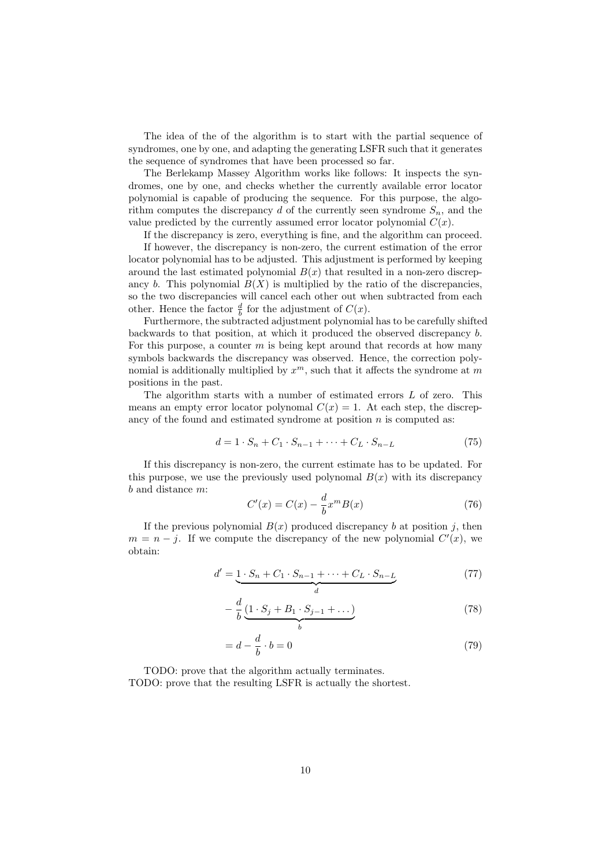The idea of the of the algorithm is to start with the partial sequence of syndromes, one by one, and adapting the generating LSFR such that it generates the sequence of syndromes that have been processed so far.

The Berlekamp Massey Algorithm works like follows: It inspects the syndromes, one by one, and checks whether the currently available error locator polynomial is capable of producing the sequence. For this purpose, the algorithm computes the discrepancy d of the currently seen syndrome  $S_n$ , and the value predicted by the currently assumed error locator polynomial  $C(x)$ .

If the discrepancy is zero, everything is fine, and the algorithm can proceed.

If however, the discrepancy is non-zero, the current estimation of the error locator polynomial has to be adjusted. This adjustment is performed by keeping around the last estimated polynomial  $B(x)$  that resulted in a non-zero discrepancy b. This polynomial  $B(X)$  is multiplied by the ratio of the discrepancies, so the two discrepancies will cancel each other out when subtracted from each other. Hence the factor  $\frac{d}{b}$  for the adjustment of  $C(x)$ .

Furthermore, the subtracted adjustment polynomial has to be carefully shifted backwards to that position, at which it produced the observed discrepancy b. For this purpose, a counter  $m$  is being kept around that records at how many symbols backwards the discrepancy was observed. Hence, the correction polynomial is additionally multiplied by  $x^m$ , such that it affects the syndrome at m positions in the past.

The algorithm starts with a number of estimated errors L of zero. This means an empty error locator polynomal  $C(x) = 1$ . At each step, the discrepancy of the found and estimated syndrome at position  $n$  is computed as:

$$
d = 1 \cdot S_n + C_1 \cdot S_{n-1} + \dots + C_L \cdot S_{n-L}
$$
 (75)

If this discrepancy is non-zero, the current estimate has to be updated. For this purpose, we use the previously used polynomal  $B(x)$  with its discrepancy b and distance m:

$$
C'(x) = C(x) - \frac{d}{b}x^m B(x)
$$
\n(76)

If the previous polynomial  $B(x)$  produced discrepancy b at position j, then  $m = n - j$ . If we compute the discrepancy of the new polynomial  $C'(x)$ , we obtain:

$$
d' = \underbrace{1 \cdot S_n + C_1 \cdot S_{n-1} + \dots + C_L \cdot S_{n-L}}_{d} \tag{77}
$$

$$
-\frac{d}{b}\underbrace{(1 \cdot S_j + B_1 \cdot S_{j-1} + \dots)}_{b} \tag{78}
$$

$$
= d - \frac{d}{b} \cdot b = 0 \tag{79}
$$

TODO: prove that the algorithm actually terminates. TODO: prove that the resulting LSFR is actually the shortest.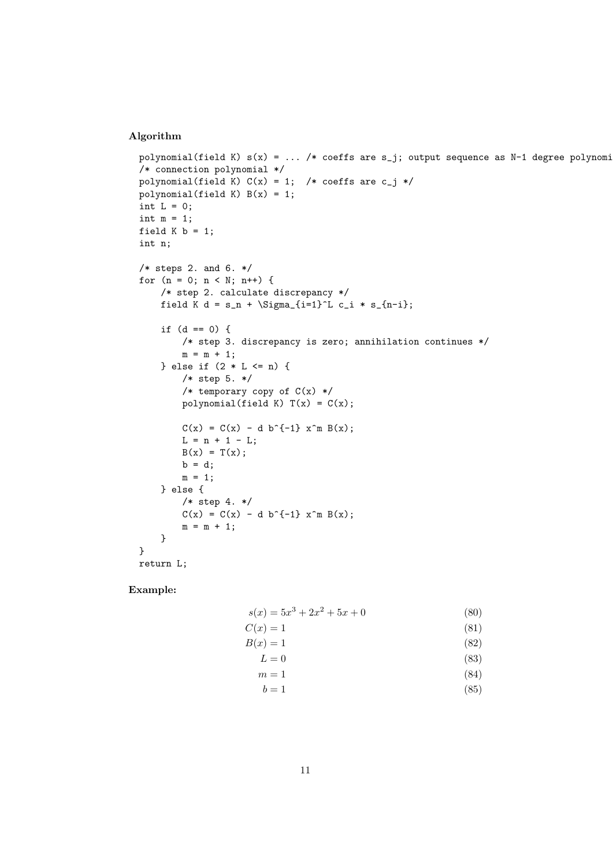#### Algorithm

```
polynomial(field K) s(x) = ... /* coeffs are s_j; output sequence as N-1 degree polynomi
/* connection polynomial */
polynomial(field K) C(x) = 1; /* coeffs are c_j */
polynomial(field K) B(x) = 1;
int L = 0;
int m = 1;
field K b = 1;
int n;
/* steps 2. and 6. */for (n = 0; n < N; n++) {
    /* step 2. calculate discrepancy */
    field K d = s_n + \Sigma_{i=1}^L c_i * s_{n-i};
    if (d == 0) {
        /* step 3. discrepancy is zero; annihilation continues */
        m = m + 1;} else if (2 * L <= n) {
        /* step 5. */
        /* temporary copy of C(x) */
        polynomial(field K) T(x) = C(x);
        C(x) = C(x) - d b^{\hat{}}{-1} x^m B(x);L = n + 1 - L;B(x) = T(x);b = d;m = 1;} else {
        /* step 4. */
        C(x) = C(x) - d b^{\hat{ }}f^{-1}x^m B(x);m = m + 1;}
}
return L;
```
Example:

| $s(x) = 5x^3 + 2x^2 + 5x + 0$ | (80) |
|-------------------------------|------|
| $C(x)=1$                      | (81) |
| $B(x)=1$                      | (82) |
| $L=0$                         | (83) |
| $m=1$                         | (84) |
| $b=1$                         | (85) |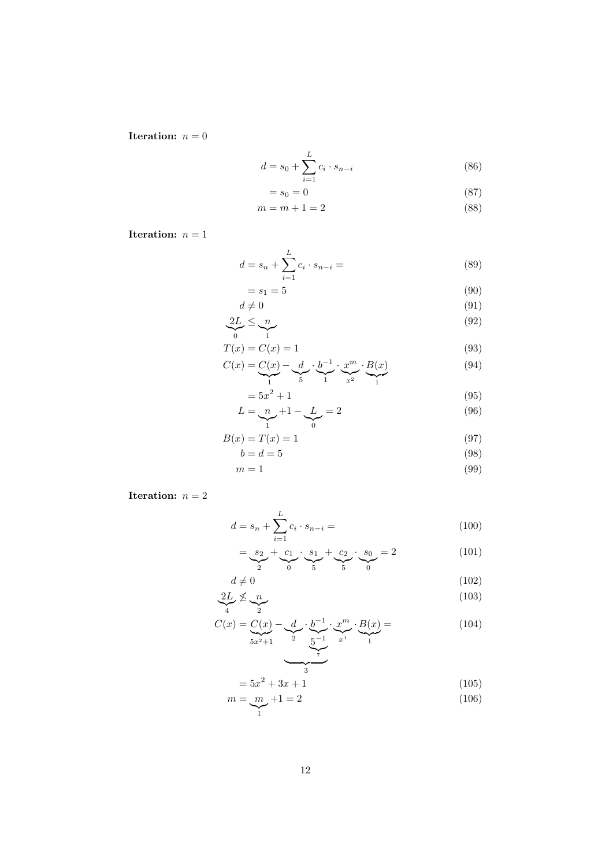**Iteration:**  $n = 0$ 

$$
d = s_0 + \sum_{i=1}^{L} c_i \cdot s_{n-i}
$$
 (86)

$$
=s_0=0\tag{87}
$$

$$
m = m + 1 = 2\tag{88}
$$

**Iteration:**  $n = 1$ 

$$
d = s_n + \sum_{i=1}^{L} c_i \cdot s_{n-i} = \tag{89}
$$

$$
=s_1=5\tag{90}
$$

$$
d \neq 0 \tag{91}
$$
\n
$$
\underbrace{2L}_{0} \leq \underbrace{n}_{1} \tag{92}
$$

$$
T(x) = C(x) = 1\tag{93}
$$

$$
C(x) = \underbrace{C(x)}_{1} - \underbrace{d}_{5} \cdot \underbrace{b^{-1}}_{1} \cdot \underbrace{x^{m}}_{x^{2}} \cdot \underbrace{B(x)}_{1}
$$
 (94)

$$
=5x^{2}+1
$$
 (95)  

$$
I = x^{2}+1
$$
 (96)

$$
L = \underbrace{n}_{1} + 1 - \underbrace{L}_{0} = 2 \tag{96}
$$

$$
B(x) = T(x) = 1\tag{97}
$$

$$
b = d = 5 \tag{98}
$$

$$
m = 1 \tag{99}
$$

**Iteration:**  $n = 2$ 

$$
d = s_n + \sum_{i=1}^{L} c_i \cdot s_{n-i} = \tag{100}
$$

$$
= \underbrace{s_2}_{2} + \underbrace{c_1}_{0} \cdot \underbrace{s_1}_{5} + \underbrace{c_2}_{5} \cdot \underbrace{s_0}_{0} = 2 \tag{101}
$$

$$
d \neq 0 \tag{102}
$$
\n
$$
2L \nleq n \tag{103}
$$

$$
C(x) = C(x) - d \underbrace{b^{-1}}_{5x^2+1} \cdot \underbrace{x^m}_{2} \cdot \underbrace{B(x)}_{7} = \underbrace{B(x)}_{1}
$$
 (104)

$$
=5x^2+3x+1
$$
 (105)

$$
m = \underbrace{m}_{1} + 1 = 2\tag{106}
$$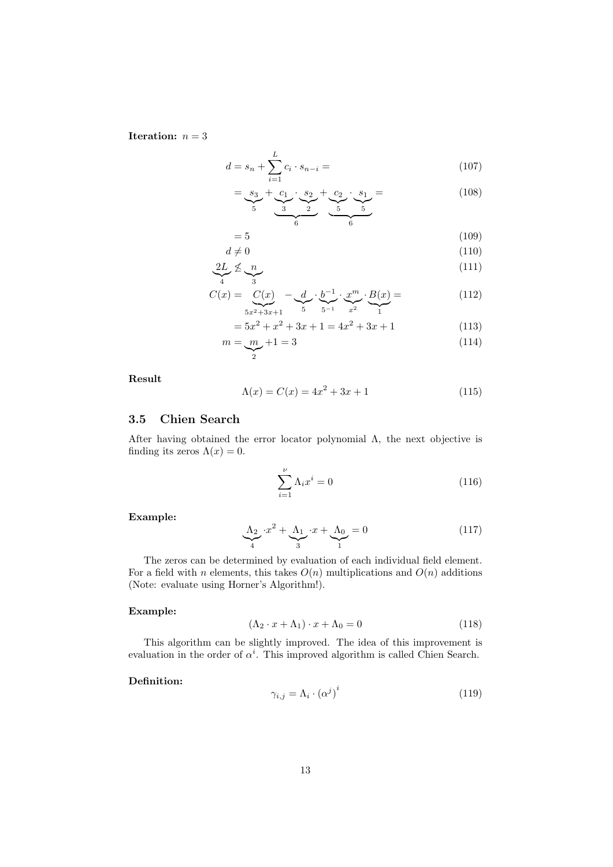Iteration:  $n = 3$ 

$$
d = s_n + \sum_{i=1}^{L} c_i \cdot s_{n-i} = \tag{107}
$$

$$
= \underbrace{s_3}_{5} + \underbrace{c_1}_{3} \cdot \underbrace{s_2}_{2} + \underbrace{c_2}_{5} \cdot \underbrace{s_1}_{5} = (108)
$$

| {z } | {z } = 5 (109)

$$
d \neq 0 \tag{110}
$$

$$
\underbrace{2L}_{4} \nleq \underbrace{n}_{3} \tag{111}
$$

$$
C(x) = \underbrace{C(x)}_{5x^2+3x+1} - \underbrace{d}_{5} \cdot \underbrace{b^{-1}}_{5^{-1}} \cdot \underbrace{x^m}_{x^2} \cdot \underbrace{B(x)}_{1} = \tag{112}
$$

$$
=5x^2 + x^2 + 3x + 1 = 4x^2 + 3x + 1
$$
\n(113)

$$
m = \underbrace{m}_{2} + 1 = 3\tag{114}
$$

Result

$$
\Lambda(x) = C(x) = 4x^2 + 3x + 1\tag{115}
$$

#### 3.5 Chien Search

After having obtained the error locator polynomial  $\Lambda$ , the next objective is finding its zeros  $\Lambda(x) = 0$ .

$$
\sum_{i=1}^{\nu} \Lambda_i x^i = 0 \tag{116}
$$

#### Example:

$$
\underbrace{\Lambda_2}_{4} \cdot x^2 + \underbrace{\Lambda_1}_{3} \cdot x + \underbrace{\Lambda_0}_{1} = 0 \tag{117}
$$

The zeros can be determined by evaluation of each individual field element. For a field with n elements, this takes  $O(n)$  multiplications and  $O(n)$  additions (Note: evaluate using Horner's Algorithm!).

#### Example:

$$
(\Lambda_2 \cdot x + \Lambda_1) \cdot x + \Lambda_0 = 0 \tag{118}
$$

This algorithm can be slightly improved. The idea of this improvement is evaluation in the order of  $\alpha^i$ . This improved algorithm is called Chien Search.

i

#### Definition:

$$
\gamma_{i,j} = \Lambda_i \cdot (\alpha^j)^i \tag{119}
$$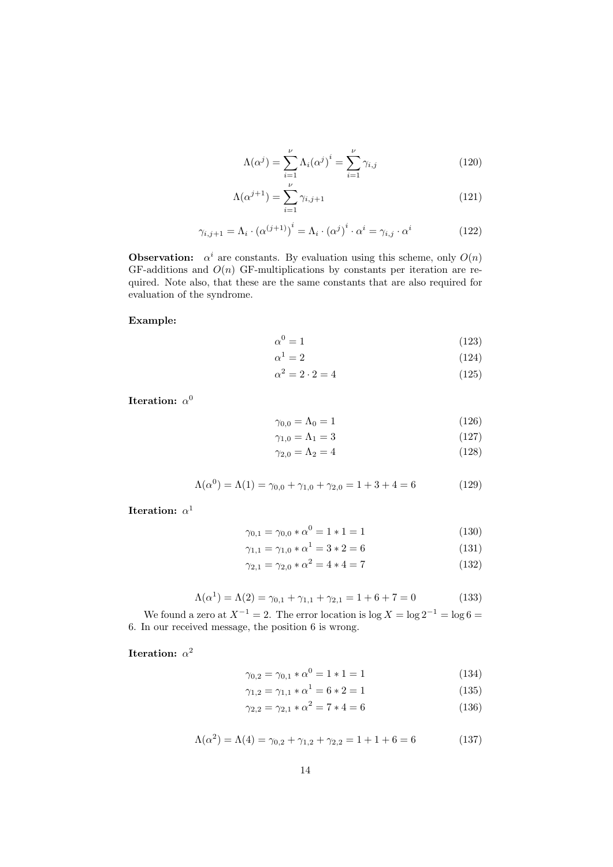$$
\Lambda(\alpha^j) = \sum_{i=1}^{\nu} \Lambda_i(\alpha^j)^i = \sum_{i=1}^{\nu} \gamma_{i,j}
$$
\n(120)

$$
\Lambda(\alpha^{j+1}) = \sum_{i=1}^{\nu} \gamma_{i,j+1} \tag{121}
$$

$$
\gamma_{i,j+1} = \Lambda_i \cdot (\alpha^{(j+1)})^i = \Lambda_i \cdot (\alpha^j)^i \cdot \alpha^i = \gamma_{i,j} \cdot \alpha^i \tag{122}
$$

**Observation:**  $\alpha^{i}$  are constants. By evaluation using this scheme, only  $O(n)$ GF-additions and  $O(n)$  GF-multiplications by constants per iteration are required. Note also, that these are the same constants that are also required for evaluation of the syndrome.

Example:

$$
\alpha^0 = 1\tag{123}
$$

$$
\alpha^1 = 2\tag{124}
$$

$$
\alpha^2 = 2 \cdot 2 = 4\tag{125}
$$

Iteration:  $\alpha^0$ 

$$
\gamma_{0,0} = \Lambda_0 = 1\tag{126}
$$

$$
\gamma_{1,0} = \Lambda_1 = 3\tag{127}
$$

$$
\gamma_{2,0} = \Lambda_2 = 4\tag{128}
$$

$$
\Lambda(\alpha^0) = \Lambda(1) = \gamma_{0,0} + \gamma_{1,0} + \gamma_{2,0} = 1 + 3 + 4 = 6 \tag{129}
$$

Iteration:  $\alpha^1$ 

$$
\gamma_{0,1} = \gamma_{0,0} * \alpha^0 = 1 * 1 = 1 \tag{130}
$$

$$
\gamma_{1,1} = \gamma_{1,0} * \alpha^1 = 3 * 2 = 6 \tag{131}
$$

$$
\gamma_{2,1} = \gamma_{2,0} * \alpha^2 = 4 * 4 = 7 \tag{132}
$$

$$
\Lambda(\alpha^1) = \Lambda(2) = \gamma_{0,1} + \gamma_{1,1} + \gamma_{2,1} = 1 + 6 + 7 = 0 \tag{133}
$$

We found a zero at  $X^{-1} = 2$ . The error location is log  $X = \log 2^{-1} = \log 6 =$ 6. In our received message, the position 6 is wrong.

Iteration:  $\alpha^2$ 

$$
\gamma_{0,2} = \gamma_{0,1} * \alpha^0 = 1 * 1 = 1 \tag{134}
$$

$$
\gamma_{1,2} = \gamma_{1,1} * \alpha^1 = 6 * 2 = 1 \tag{135}
$$

$$
\gamma_{2,2} = \gamma_{2,1} * \alpha^2 = 7 * 4 = 6 \tag{136}
$$

$$
\Lambda(\alpha^2) = \Lambda(4) = \gamma_{0,2} + \gamma_{1,2} + \gamma_{2,2} = 1 + 1 + 6 = 6 \tag{137}
$$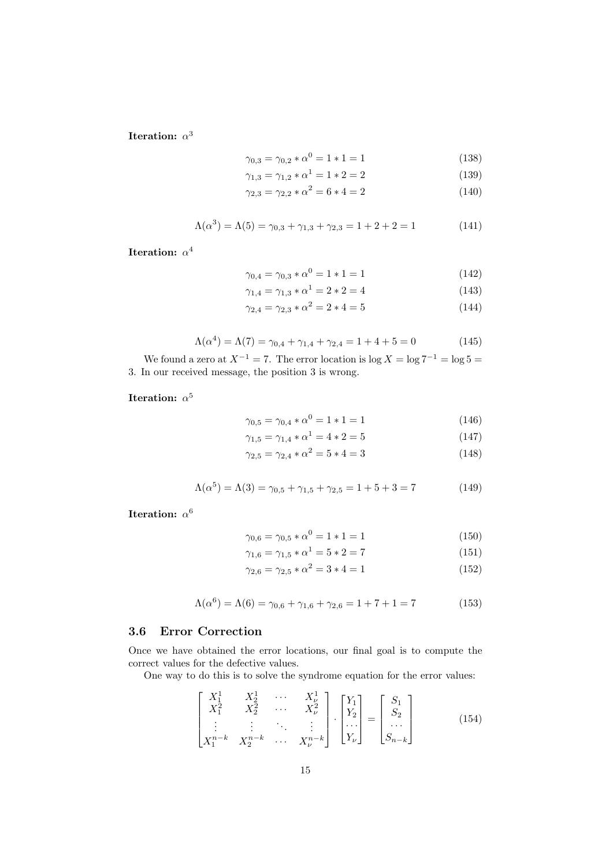Iteration:  $\alpha^3$ 

$$
\gamma_{0,3} = \gamma_{0,2} * \alpha^0 = 1 * 1 = 1 \tag{138}
$$

$$
\gamma_{1,3} = \gamma_{1,2} * \alpha^1 = 1 * 2 = 2 \tag{139}
$$

$$
\gamma_{2,3} = \gamma_{2,2} * \alpha^2 = 6 * 4 = 2 \tag{140}
$$

$$
\Lambda(\alpha^3) = \Lambda(5) = \gamma_{0,3} + \gamma_{1,3} + \gamma_{2,3} = 1 + 2 + 2 = 1 \tag{141}
$$

Iteration:  $\alpha^4$ 

$$
\gamma_{0,4} = \gamma_{0,3} * \alpha^0 = 1 * 1 = 1 \tag{142}
$$

$$
\gamma_{1,4} = \gamma_{1,3} * \alpha^1 = 2 * 2 = 4 \tag{143}
$$

$$
\gamma_{2,4} = \gamma_{2,3} * \alpha^2 = 2 * 4 = 5 \tag{144}
$$

$$
\Lambda(\alpha^4) = \Lambda(7) = \gamma_{0,4} + \gamma_{1,4} + \gamma_{2,4} = 1 + 4 + 5 = 0 \tag{145}
$$

We found a zero at  $X^{-1} = 7$ . The error location is log  $X = \log 7^{-1} = \log 5 =$ 3. In our received message, the position 3 is wrong.

Iteration:  $\alpha^5$ 

$$
\gamma_{0,5} = \gamma_{0,4} * \alpha^0 = 1 * 1 = 1 \tag{146}
$$

$$
\gamma_{1,5} = \gamma_{1,4} * \alpha^1 = 4 * 2 = 5 \tag{147}
$$

$$
\gamma_{2,5} = \gamma_{2,4} * \alpha^2 = 5 * 4 = 3 \tag{148}
$$

$$
\Lambda(\alpha^5) = \Lambda(3) = \gamma_{0,5} + \gamma_{1,5} + \gamma_{2,5} = 1 + 5 + 3 = 7
$$
 (149)

Iteration:  $\alpha^6$ 

$$
\gamma_{0,6} = \gamma_{0,5} * \alpha^0 = 1 * 1 = 1 \tag{150}
$$

$$
\gamma_{1,6} = \gamma_{1,5} * \alpha^1 = 5 * 2 = 7 \tag{151}
$$

$$
\gamma_{2,6} = \gamma_{2,5} * \alpha^2 = 3 * 4 = 1 \tag{152}
$$

$$
\Lambda(\alpha^6) = \Lambda(6) = \gamma_{0,6} + \gamma_{1,6} + \gamma_{2,6} = 1 + 7 + 1 = 7 \tag{153}
$$

### 3.6 Error Correction

Once we have obtained the error locations, our final goal is to compute the correct values for the defective values.

One way to do this is to solve the syndrome equation for the error values:

$$
\begin{bmatrix} X_1^1 & X_2^1 & \cdots & X_{\nu}^1 \\ X_1^2 & X_2^2 & \cdots & X_{\nu}^2 \\ \vdots & \vdots & \ddots & \vdots \\ X_1^{n-k} & X_2^{n-k} & \cdots & X_{\nu}^{n-k} \end{bmatrix} \cdot \begin{bmatrix} Y_1 \\ Y_2 \\ \cdots \\ Y_{\nu} \end{bmatrix} = \begin{bmatrix} S_1 \\ S_2 \\ \cdots \\ S_{n-k} \end{bmatrix}
$$
 (154)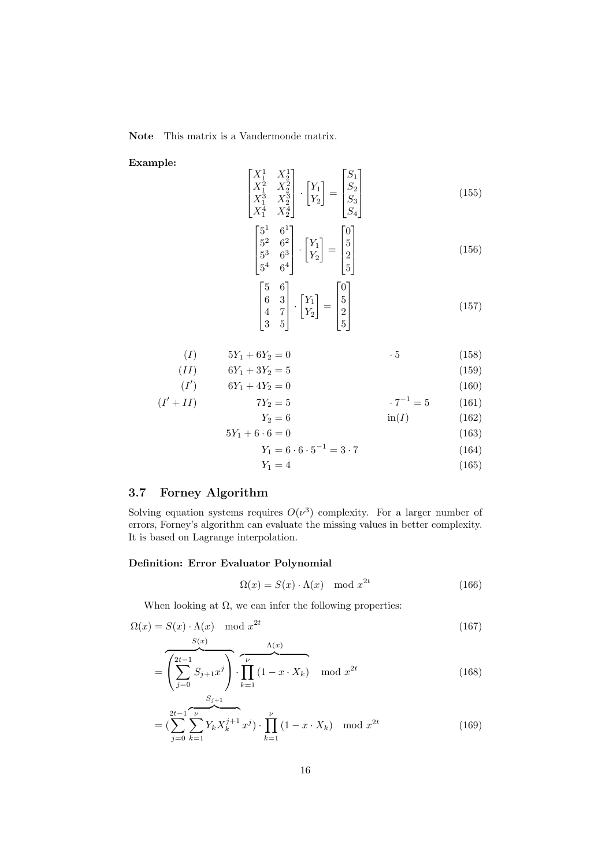Note This matrix is a Vandermonde matrix.

 $\lceil$  $\overline{\phantom{a}}$  $\overline{\phantom{a}}$  $\overline{1}$ 

Example:

$$
\begin{bmatrix}\nX_1^1 & X_2^1 \\
X_1^2 & X_2^2 \\
X_1^3 & X_2^3 \\
X_1^4 & X_2^4\n\end{bmatrix} \cdot \begin{bmatrix}\nY_1 \\
Y_2\n\end{bmatrix} = \begin{bmatrix}\nS_1 \\
S_2 \\
S_3 \\
S_4\n\end{bmatrix}
$$
\n(155)

$$
\begin{bmatrix} 5^1 & 6^1 \\ 5^2 & 6^2 \\ 5^3 & 6^3 \\ 5^4 & 6^4 \end{bmatrix} \cdot \begin{bmatrix} Y_1 \\ Y_2 \end{bmatrix} = \begin{bmatrix} 0 \\ 5 \\ 2 \\ 5 \end{bmatrix}
$$
 (156)

$$
\begin{bmatrix} 5 & 6 \ 6 & 3 \ 4 & 7 \ 3 & 5 \end{bmatrix} \cdot \begin{bmatrix} Y_1 \ Y_2 \end{bmatrix} = \begin{bmatrix} 0 \ 5 \ 2 \ 5 \end{bmatrix}
$$
 (157)

$$
(I) \t 5Y_1 + 6Y_2 = 0 \t 3 \t (158)
$$

$$
(II) \t 6Y_1 + 3Y_2 = 5 \t (159)
$$

$$
(I') \t 6Y_1 + 4Y_2 = 0 \t (160)
$$
  

$$
(I' + II) \t 7Y_2 = 5 \t 7^{-1} = 5 \t (161)
$$

$$
Y_2 = 6
$$
 in (I) (162)  
 
$$
5Y_1 + 6 \cdot 6 = 0
$$
 (163)

$$
Y_1 = 6 \cdot 6 \cdot 5^{-1} = 3 \cdot 7 \tag{164}
$$

$$
Y_1 = 4 \tag{165}
$$

## 3.7 Forney Algorithm

Solving equation systems requires  $O(\nu^3)$  complexity. For a larger number of errors, Forney's algorithm can evaluate the missing values in better complexity. It is based on Lagrange interpolation.

#### Definition: Error Evaluator Polynomial

$$
\Omega(x) = S(x) \cdot \Lambda(x) \mod x^{2t} \tag{166}
$$

When looking at  $\Omega$ , we can infer the following properties:

$$
\Omega(x) = S(x) \cdot \Lambda(x) \mod x^{2t}
$$
\n
$$
S(x) \qquad \Lambda(x)
$$
\n(167)

$$
= \overbrace{\left(\sum_{j=0}^{2t-1} S_{j+1} x^j\right)}^{S(x)} \cdot \overbrace{\prod_{k=1}^{\nu} (1 - x \cdot X_k)}^{\Lambda(x)} \mod x^{2t}
$$
 (168)

$$
= \left(\sum_{j=0}^{2t-1} \sum_{k=1}^{\nu} Y_k X_k^{j+1} x^j\right) \cdot \prod_{k=1}^{\nu} (1 - x \cdot X_k) \mod x^{2t}
$$
(169)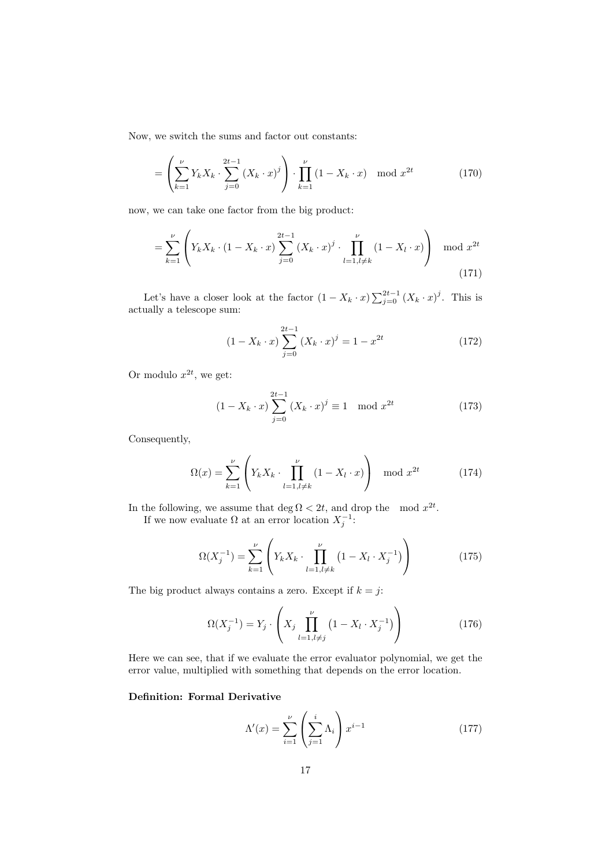Now, we switch the sums and factor out constants:

$$
= \left(\sum_{k=1}^{\nu} Y_k X_k \cdot \sum_{j=0}^{2t-1} (X_k \cdot x)^j \right) \cdot \prod_{k=1}^{\nu} (1 - X_k \cdot x) \mod x^{2t} \tag{170}
$$

now, we can take one factor from the big product:

$$
= \sum_{k=1}^{\nu} \left( Y_k X_k \cdot (1 - X_k \cdot x) \sum_{j=0}^{2t-1} (X_k \cdot x)^j \cdot \prod_{l=1, l \neq k}^{\nu} (1 - X_l \cdot x) \right) \mod x^{2t}
$$
\n(171)

Let's have a closer look at the factor  $(1 - X_k \cdot x) \sum_{j=0}^{2t-1} (X_k \cdot x)^j$ . This is actually a telescope sum:

$$
(1 - X_k \cdot x) \sum_{j=0}^{2t-1} (X_k \cdot x)^j = 1 - x^{2t}
$$
 (172)

Or modulo  $x^{2t}$ , we get:

$$
(1 - X_k \cdot x) \sum_{j=0}^{2t-1} (X_k \cdot x)^j \equiv 1 \mod x^{2t}
$$
 (173)

Consequently,

$$
\Omega(x) = \sum_{k=1}^{\nu} \left( Y_k X_k \cdot \prod_{l=1, l \neq k}^{\nu} (1 - X_l \cdot x) \right) \mod x^{2t} \tag{174}
$$

In the following, we assume that deg  $\Omega < 2t$ , and drop the mod  $x^{2t}$ . If we now evaluate  $\Omega$  at an error location  $X_j^{-1}$ :

$$
\Omega(X_j^{-1}) = \sum_{k=1}^{\nu} \left( Y_k X_k \cdot \prod_{l=1, l \neq k}^{\nu} \left( 1 - X_l \cdot X_j^{-1} \right) \right) \tag{175}
$$

The big product always contains a zero. Except if  $k = j$ :

$$
\Omega(X_j^{-1}) = Y_j \cdot \left( X_j \prod_{l=1, l \neq j}^{\nu} \left( 1 - X_l \cdot X_j^{-1} \right) \right) \tag{176}
$$

Here we can see, that if we evaluate the error evaluator polynomial, we get the error value, multiplied with something that depends on the error location.

#### Definition: Formal Derivative

$$
\Lambda'(x) = \sum_{i=1}^{\nu} \left(\sum_{j=1}^{i} \Lambda_i\right) x^{i-1}
$$
\n(177)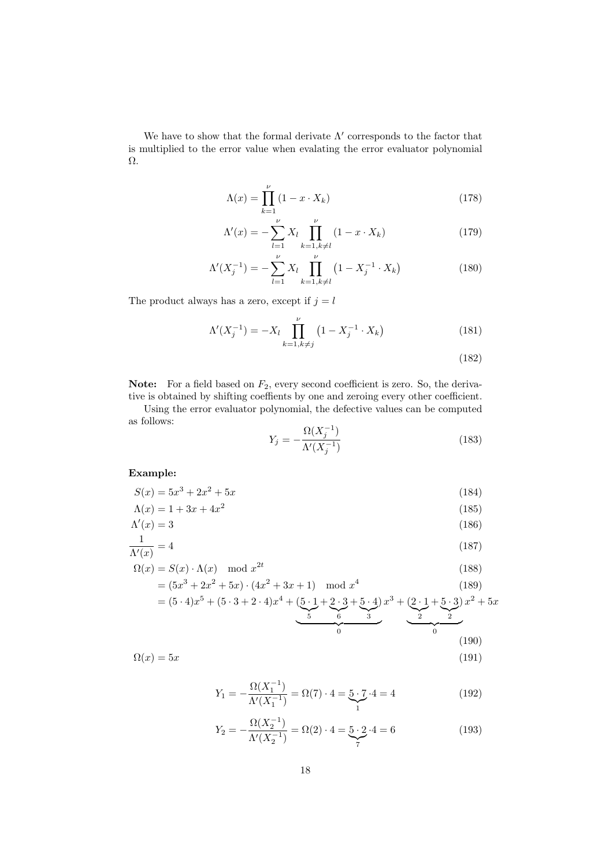We have to show that the formal derivate  $\Lambda'$  corresponds to the factor that is multiplied to the error value when evalating the error evaluator polynomial Ω.

$$
\Lambda(x) = \prod_{k=1}^{\nu} \left( 1 - x \cdot X_k \right) \tag{178}
$$

$$
\Lambda'(x) = -\sum_{l=1}^{\nu} X_l \prod_{k=1, k \neq l}^{\nu} (1 - x \cdot X_k)
$$
\n(179)

$$
\Lambda'(X_j^{-1}) = -\sum_{l=1}^{\nu} X_l \prod_{k=1, k \neq l}^{\nu} (1 - X_j^{-1} \cdot X_k)
$$
\n(180)

The product always has a zero, except if  $j = l$ 

$$
\Lambda'(X_j^{-1}) = -X_l \prod_{k=1, k \neq j}^{\nu} \left( 1 - X_j^{-1} \cdot X_k \right) \tag{181}
$$

(182)

**Note:** For a field based on  $F_2$ , every second coefficient is zero. So, the derivative is obtained by shifting coeffients by one and zeroing every other coefficient.

Using the error evaluator polynomial, the defective values can be computed as follows:

$$
Y_j = -\frac{\Omega(X_j^{-1})}{\Lambda'(X_j^{-1})}
$$
\n(183)

#### Example:

$$
S(x) = 5x^3 + 2x^2 + 5x \tag{184}
$$

$$
\Lambda(x) = 1 + 3x + 4x^2 \tag{185}
$$

$$
\Lambda'(x) = 3\tag{186}
$$
1

$$
\frac{1}{\Lambda'(x)} = 4\tag{187}
$$

$$
\Omega(x) = S(x) \cdot \Lambda(x) \mod x^{2t}
$$
\n
$$
= (5x^3 + 2x^2 + 5x) \cdot (4x^2 + 3x + 1) \mod x^4
$$
\n(188)

$$
= (5 \cdot 4)x^{5} + (5 \cdot 3 + 2 \cdot 4)x^{4} + \underbrace{(5 \cdot 1 + 2 \cdot 3 + 5 \cdot 4)}_{5} x^{3} + \underbrace{(2 \cdot 1 + 5 \cdot 3)}_{2} x^{2} + 5x
$$
\n
$$
(190)
$$

$$
\Omega(x) = 5x \tag{191}
$$

$$
Y_1 = -\frac{\Omega(X_1^{-1})}{\Lambda'(X_1^{-1})} = \Omega(7) \cdot 4 = 5 \cdot 7 \cdot 4 = 4 \tag{192}
$$

$$
Y_2 = -\frac{\Omega(X_2^{-1})}{\Lambda'(X_2^{-1})} = \Omega(2) \cdot 4 = 5 \cdot 2 \cdot 4 = 6 \tag{193}
$$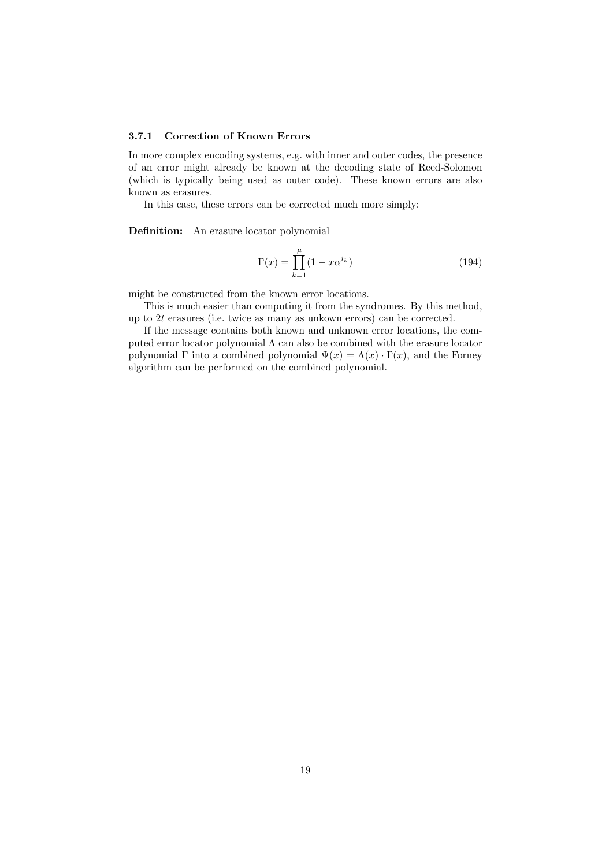#### 3.7.1 Correction of Known Errors

In more complex encoding systems, e.g. with inner and outer codes, the presence of an error might already be known at the decoding state of Reed-Solomon (which is typically being used as outer code). These known errors are also known as erasures.

In this case, these errors can be corrected much more simply:

Definition: An erasure locator polynomial

$$
\Gamma(x) = \prod_{k=1}^{\mu} (1 - x \alpha^{i_k})
$$
\n(194)

might be constructed from the known error locations.

This is much easier than computing it from the syndromes. By this method, up to 2t erasures (i.e. twice as many as unkown errors) can be corrected.

If the message contains both known and unknown error locations, the computed error locator polynomial  $\Lambda$  can also be combined with the erasure locator polynomial Γ into a combined polynomial  $\Psi(x) = \Lambda(x) \cdot \Gamma(x)$ , and the Forney algorithm can be performed on the combined polynomial.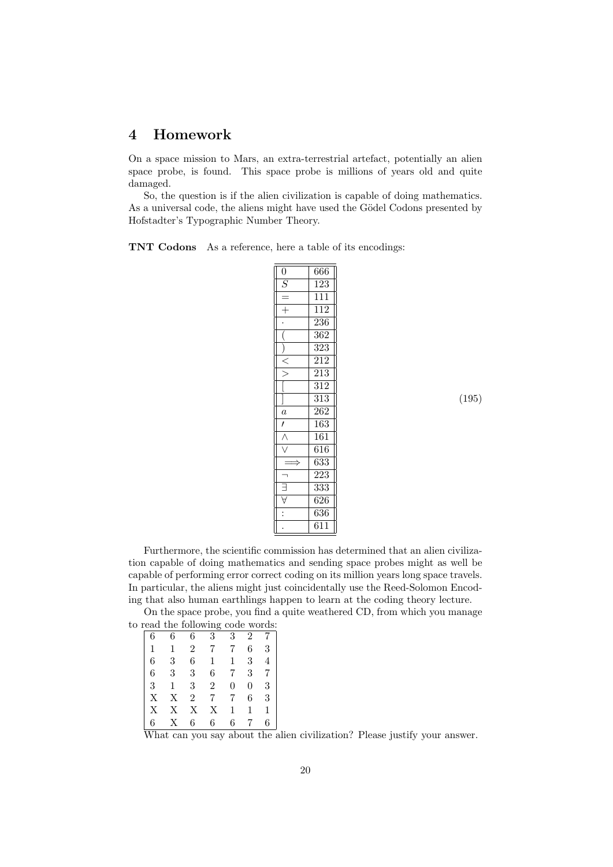## 4 Homework

On a space mission to Mars, an extra-terrestrial artefact, potentially an alien space probe, is found. This space probe is millions of years old and quite damaged.

So, the question is if the alien civilization is capable of doing mathematics. As a universal code, the aliens might have used the Gödel Codons presented by Hofstadter's Typographic Number Theory.

TNT Codons As a reference, here a table of its encodings:

| $\overline{0}$ | 666              |
|----------------|------------------|
| $\overline{S}$ | 123              |
|                | $\overline{111}$ |
| $\overline{+}$ | $\overline{112}$ |
|                | 236              |
|                | $\overline{362}$ |
|                | $\overline{323}$ |
|                | $\overline{212}$ |
|                | 213              |
|                | $\overline{312}$ |
|                | $\overline{313}$ |
| $\frac{a}{l}$  | 262              |
|                | 163              |
|                | 161              |
|                | $\overline{616}$ |
|                | 633              |
|                | $\overline{223}$ |
|                | $3\overline{3}3$ |
|                | 626              |
|                | $\overline{636}$ |
|                | $\overline{611}$ |

(195)

Furthermore, the scientific commission has determined that an alien civilization capable of doing mathematics and sending space probes might as well be capable of performing error correct coding on its million years long space travels. In particular, the aliens might just coincidentally use the Reed-Solomon Encoding that also human earthlings happen to learn at the coding theory lecture.

On the space probe, you find a quite weathered CD, from which you manage to read the following code words:

|   |   |                | ິ |   |   |   |
|---|---|----------------|---|---|---|---|
| 6 | 6 | 6              | 3 | 3 | 2 |   |
| 1 |   | 2              |   | 7 | 6 | 3 |
| 6 | 3 | 6              |   |   | 3 | 4 |
| 6 | 3 | 3              | 6 | 7 | 3 | 7 |
| 3 |   | 3              | 2 | 0 | 0 | 3 |
| Х | Х | $\overline{2}$ |   | 7 | 6 | 3 |
| Х | Х | Х              | Χ |   |   | 1 |
| 6 | X | 6              | 6 | 6 |   | 6 |

What can you say about the alien civilization? Please justify your answer.